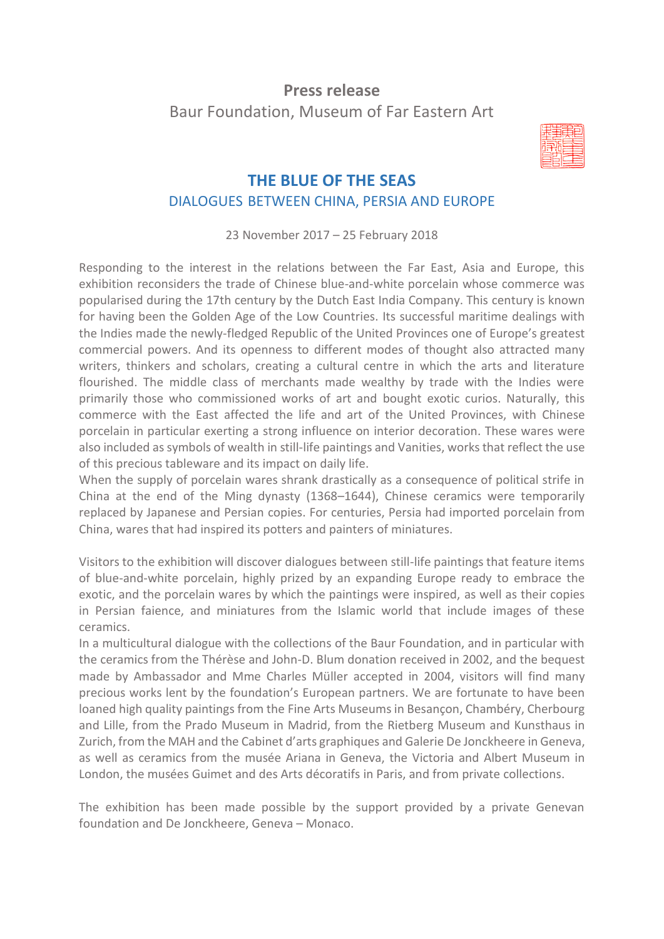# **Press release** Baur Foundation, Museum of Far Eastern Art



# **THE BLUE OF THE SEAS** DIALOGUES BETWEEN CHINA, PERSIA AND EUROPE

23 November 2017 – 25 February 2018

Responding to the interest in the relations between the Far East, Asia and Europe, this exhibition reconsiders the trade of Chinese blue-and-white porcelain whose commerce was popularised during the 17th century by the Dutch East India Company. This century is known for having been the Golden Age of the Low Countries. Its successful maritime dealings with the Indies made the newly-fledged Republic of the United Provinces one of Europe's greatest commercial powers. And its openness to different modes of thought also attracted many writers, thinkers and scholars, creating a cultural centre in which the arts and literature flourished. The middle class of merchants made wealthy by trade with the Indies were primarily those who commissioned works of art and bought exotic curios. Naturally, this commerce with the East affected the life and art of the United Provinces, with Chinese porcelain in particular exerting a strong influence on interior decoration. These wares were also included as symbols of wealth in still-life paintings and Vanities, worksthat reflect the use of this precious tableware and its impact on daily life.

When the supply of porcelain wares shrank drastically as a consequence of political strife in China at the end of the Ming dynasty (1368–1644), Chinese ceramics were temporarily replaced by Japanese and Persian copies. For centuries, Persia had imported porcelain from China, wares that had inspired its potters and painters of miniatures.

Visitors to the exhibition will discover dialogues between still-life paintings that feature items of blue-and-white porcelain, highly prized by an expanding Europe ready to embrace the exotic, and the porcelain wares by which the paintings were inspired, as well as their copies in Persian faience, and miniatures from the Islamic world that include images of these ceramics.

In a multicultural dialogue with the collections of the Baur Foundation, and in particular with the ceramics from the Thérèse and John-D. Blum donation received in 2002, and the bequest made by Ambassador and Mme Charles Müller accepted in 2004, visitors will find many precious works lent by the foundation's European partners. We are fortunate to have been loaned high quality paintings from the Fine Arts Museums in Besançon, Chambéry, Cherbourg and Lille, from the Prado Museum in Madrid, from the Rietberg Museum and Kunsthaus in Zurich, from the MAH and the Cabinet d'arts graphiques and Galerie De Jonckheere in Geneva, as well as ceramics from the musée Ariana in Geneva, the Victoria and Albert Museum in London, the musées Guimet and des Arts décoratifs in Paris, and from private collections.

The exhibition has been made possible by the support provided by a private Genevan foundation and De Jonckheere, Geneva – Monaco.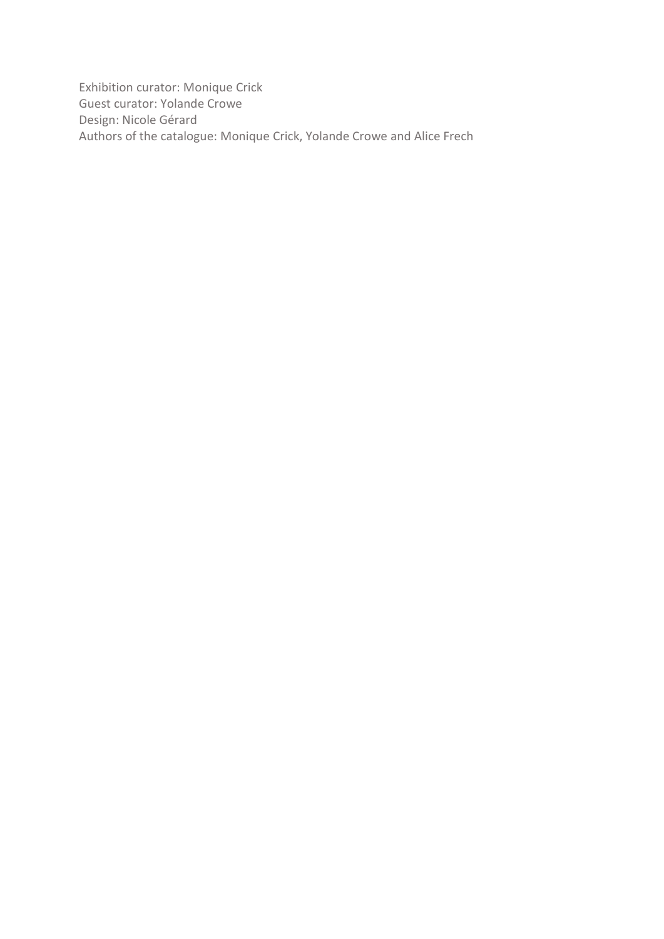Exhibition curator: Monique Crick Guest curator: Yolande Crowe Design: Nicole Gérard Authors of the catalogue: Monique Crick, Yolande Crowe and Alice Frech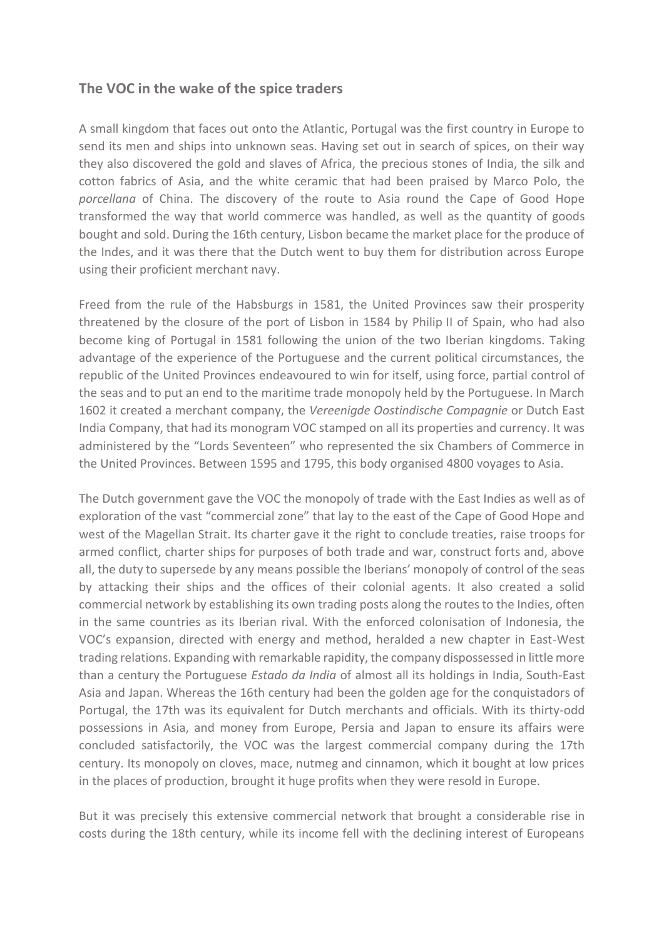#### **The VOC in the wake of the spice traders**

A small kingdom that faces out onto the Atlantic, Portugal was the first country in Europe to send its men and ships into unknown seas. Having set out in search of spices, on their way they also discovered the gold and slaves of Africa, the precious stones of India, the silk and cotton fabrics of Asia, and the white ceramic that had been praised by Marco Polo, the *porcellana* of China. The discovery of the route to Asia round the Cape of Good Hope transformed the way that world commerce was handled, as well as the quantity of goods bought and sold. During the 16th century, Lisbon became the market place for the produce of the Indes, and it was there that the Dutch went to buy them for distribution across Europe using their proficient merchant navy.

Freed from the rule of the Habsburgs in 1581, the United Provinces saw their prosperity threatened by the closure of the port of Lisbon in 1584 by Philip II of Spain, who had also become king of Portugal in 1581 following the union of the two Iberian kingdoms. Taking advantage of the experience of the Portuguese and the current political circumstances, the republic of the United Provinces endeavoured to win for itself, using force, partial control of the seas and to put an end to the maritime trade monopoly held by the Portuguese. In March 1602 it created a merchant company, the *Vereenigde Oostindische Compagnie* or Dutch East India Company, that had its monogram VOC stamped on all its properties and currency. It was administered by the "Lords Seventeen" who represented the six Chambers of Commerce in the United Provinces. Between 1595 and 1795, this body organised 4800 voyages to Asia.

The Dutch government gave the VOC the monopoly of trade with the East Indies as well as of exploration of the vast "commercial zone" that lay to the east of the Cape of Good Hope and west of the Magellan Strait. Its charter gave it the right to conclude treaties, raise troops for armed conflict, charter ships for purposes of both trade and war, construct forts and, above all, the duty to supersede by any means possible the Iberians' monopoly of control of the seas by attacking their ships and the offices of their colonial agents. It also created a solid commercial network by establishing its own trading posts along the routes to the Indies, often in the same countries as its Iberian rival. With the enforced colonisation of Indonesia, the VOC's expansion, directed with energy and method, heralded a new chapter in East-West trading relations. Expanding with remarkable rapidity, the company dispossessed in little more than a century the Portuguese *Estado da India* of almost all its holdings in India, South-East Asia and Japan. Whereas the 16th century had been the golden age for the conquistadors of Portugal, the 17th was its equivalent for Dutch merchants and officials. With its thirty-odd possessions in Asia, and money from Europe, Persia and Japan to ensure its affairs were concluded satisfactorily, the VOC was the largest commercial company during the 17th century. Its monopoly on cloves, mace, nutmeg and cinnamon, which it bought at low prices in the places of production, brought it huge profits when they were resold in Europe.

But it was precisely this extensive commercial network that brought a considerable rise in costs during the 18th century, while its income fell with the declining interest of Europeans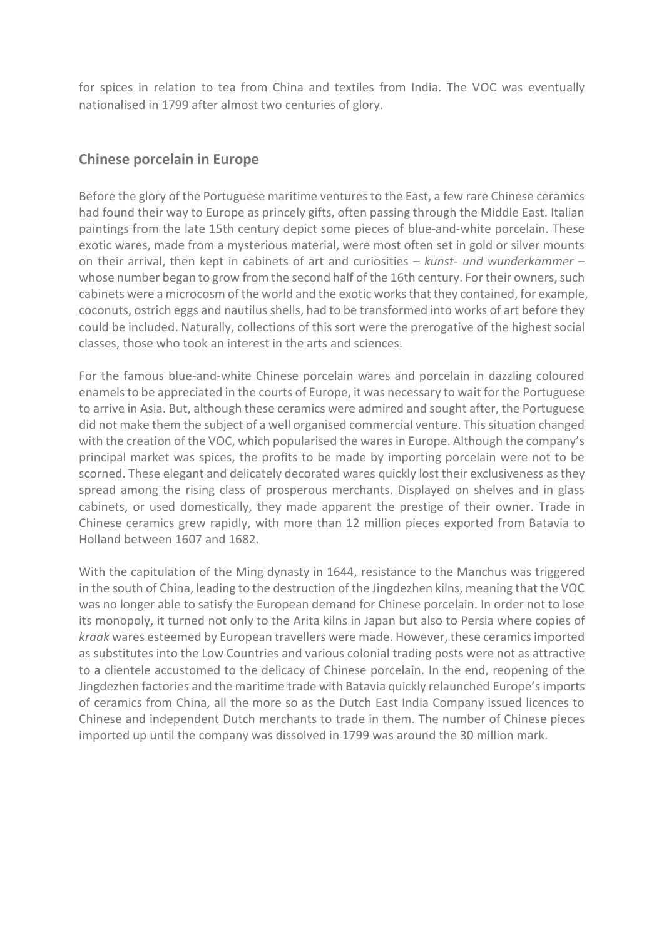for spices in relation to tea from China and textiles from India. The VOC was eventually nationalised in 1799 after almost two centuries of glory.

## **Chinese porcelain in Europe**

Before the glory of the Portuguese maritime ventures to the East, a few rare Chinese ceramics had found their way to Europe as princely gifts, often passing through the Middle East. Italian paintings from the late 15th century depict some pieces of blue-and-white porcelain. These exotic wares, made from a mysterious material, were most often set in gold or silver mounts on their arrival, then kept in cabinets of art and curiosities – *kunst- und wunderkammer* – whose number began to grow from the second half of the 16th century. For their owners, such cabinets were a microcosm of the world and the exotic works that they contained, for example, coconuts, ostrich eggs and nautilus shells, had to be transformed into works of art before they could be included. Naturally, collections of this sort were the prerogative of the highest social classes, those who took an interest in the arts and sciences.

For the famous blue-and-white Chinese porcelain wares and porcelain in dazzling coloured enamels to be appreciated in the courts of Europe, it was necessary to wait for the Portuguese to arrive in Asia. But, although these ceramics were admired and sought after, the Portuguese did not make them the subject of a well organised commercial venture. This situation changed with the creation of the VOC, which popularised the wares in Europe. Although the company's principal market was spices, the profits to be made by importing porcelain were not to be scorned. These elegant and delicately decorated wares quickly lost their exclusiveness as they spread among the rising class of prosperous merchants. Displayed on shelves and in glass cabinets, or used domestically, they made apparent the prestige of their owner. Trade in Chinese ceramics grew rapidly, with more than 12 million pieces exported from Batavia to Holland between 1607 and 1682.

With the capitulation of the Ming dynasty in 1644, resistance to the Manchus was triggered in the south of China, leading to the destruction of the Jingdezhen kilns, meaning that the VOC was no longer able to satisfy the European demand for Chinese porcelain. In order not to lose its monopoly, it turned not only to the Arita kilns in Japan but also to Persia where copies of *kraak* wares esteemed by European travellers were made. However, these ceramics imported as substitutes into the Low Countries and various colonial trading posts were not as attractive to a clientele accustomed to the delicacy of Chinese porcelain. In the end, reopening of the Jingdezhen factories and the maritime trade with Batavia quickly relaunched Europe's imports of ceramics from China, all the more so as the Dutch East India Company issued licences to Chinese and independent Dutch merchants to trade in them. The number of Chinese pieces imported up until the company was dissolved in 1799 was around the 30 million mark.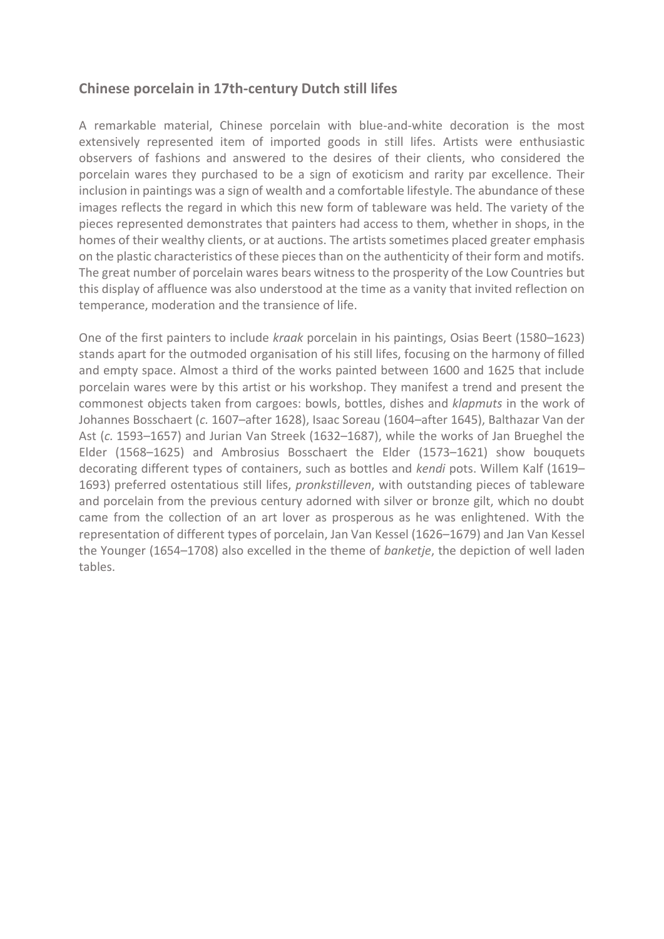#### **Chinese porcelain in 17th-century Dutch still lifes**

A remarkable material, Chinese porcelain with blue-and-white decoration is the most extensively represented item of imported goods in still lifes. Artists were enthusiastic observers of fashions and answered to the desires of their clients, who considered the porcelain wares they purchased to be a sign of exoticism and rarity par excellence. Their inclusion in paintings was a sign of wealth and a comfortable lifestyle. The abundance of these images reflects the regard in which this new form of tableware was held. The variety of the pieces represented demonstrates that painters had access to them, whether in shops, in the homes of their wealthy clients, or at auctions. The artists sometimes placed greater emphasis on the plastic characteristics of these pieces than on the authenticity of their form and motifs. The great number of porcelain wares bears witness to the prosperity of the Low Countries but this display of affluence was also understood at the time as a vanity that invited reflection on temperance, moderation and the transience of life.

One of the first painters to include *kraak* porcelain in his paintings, Osias Beert (1580–1623) stands apart for the outmoded organisation of his still lifes, focusing on the harmony of filled and empty space. Almost a third of the works painted between 1600 and 1625 that include porcelain wares were by this artist or his workshop. They manifest a trend and present the commonest objects taken from cargoes: bowls, bottles, dishes and *klapmuts* in the work of Johannes Bosschaert (*c.* 1607–after 1628), Isaac Soreau (1604–after 1645), Balthazar Van der Ast (*c.* 1593–1657) and Jurian Van Streek (1632–1687), while the works of Jan Brueghel the Elder (1568–1625) and Ambrosius Bosschaert the Elder (1573–1621) show bouquets decorating different types of containers, such as bottles and *kendi* pots. Willem Kalf (1619– 1693) preferred ostentatious still lifes, *pronkstilleven*, with outstanding pieces of tableware and porcelain from the previous century adorned with silver or bronze gilt, which no doubt came from the collection of an art lover as prosperous as he was enlightened. With the representation of different types of porcelain, Jan Van Kessel (1626–1679) and Jan Van Kessel the Younger (1654–1708) also excelled in the theme of *banketje*, the depiction of well laden tables.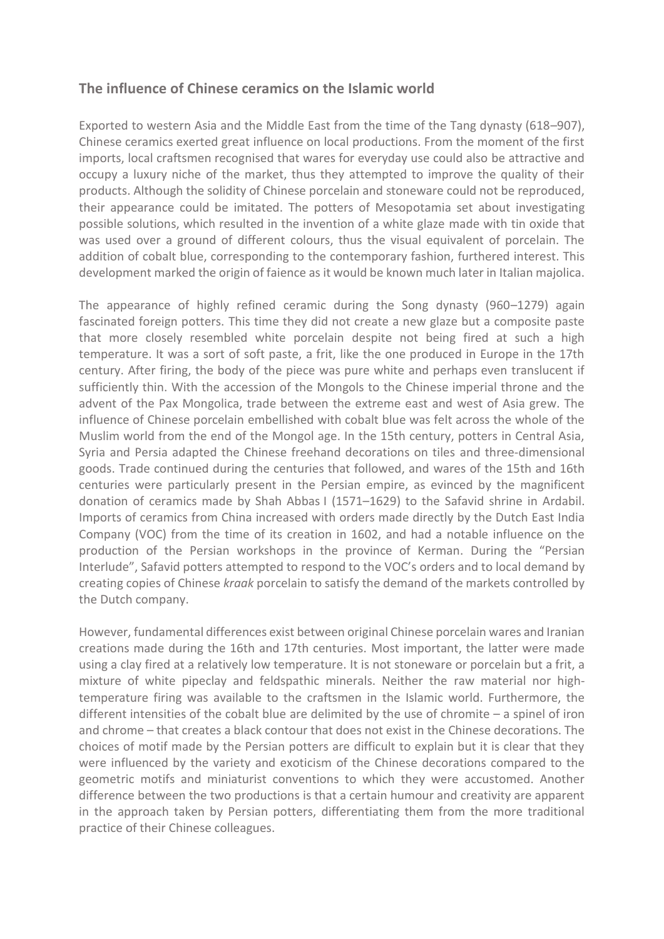#### **The influence of Chinese ceramics on the Islamic world**

Exported to western Asia and the Middle East from the time of the Tang dynasty (618–907), Chinese ceramics exerted great influence on local productions. From the moment of the first imports, local craftsmen recognised that wares for everyday use could also be attractive and occupy a luxury niche of the market, thus they attempted to improve the quality of their products. Although the solidity of Chinese porcelain and stoneware could not be reproduced, their appearance could be imitated. The potters of Mesopotamia set about investigating possible solutions, which resulted in the invention of a white glaze made with tin oxide that was used over a ground of different colours, thus the visual equivalent of porcelain. The addition of cobalt blue, corresponding to the contemporary fashion, furthered interest. This development marked the origin of faience as it would be known much later in Italian majolica.

The appearance of highly refined ceramic during the Song dynasty (960–1279) again fascinated foreign potters. This time they did not create a new glaze but a composite paste that more closely resembled white porcelain despite not being fired at such a high temperature. It was a sort of soft paste, a frit, like the one produced in Europe in the 17th century. After firing, the body of the piece was pure white and perhaps even translucent if sufficiently thin. With the accession of the Mongols to the Chinese imperial throne and the advent of the Pax Mongolica, trade between the extreme east and west of Asia grew. The influence of Chinese porcelain embellished with cobalt blue was felt across the whole of the Muslim world from the end of the Mongol age. In the 15th century, potters in Central Asia, Syria and Persia adapted the Chinese freehand decorations on tiles and three-dimensional goods. Trade continued during the centuries that followed, and wares of the 15th and 16th centuries were particularly present in the Persian empire, as evinced by the magnificent donation of ceramics made by Shah Abbas I (1571–1629) to the Safavid shrine in Ardabil. Imports of ceramics from China increased with orders made directly by the Dutch East India Company (VOC) from the time of its creation in 1602, and had a notable influence on the production of the Persian workshops in the province of Kerman. During the "Persian Interlude", Safavid potters attempted to respond to the VOC's orders and to local demand by creating copies of Chinese *kraak* porcelain to satisfy the demand of the markets controlled by the Dutch company.

However, fundamental differences exist between original Chinese porcelain wares and Iranian creations made during the 16th and 17th centuries. Most important, the latter were made using a clay fired at a relatively low temperature. It is not stoneware or porcelain but a frit, a mixture of white pipeclay and feldspathic minerals. Neither the raw material nor hightemperature firing was available to the craftsmen in the Islamic world. Furthermore, the different intensities of the cobalt blue are delimited by the use of chromite – a spinel of iron and chrome – that creates a black contour that does not exist in the Chinese decorations. The choices of motif made by the Persian potters are difficult to explain but it is clear that they were influenced by the variety and exoticism of the Chinese decorations compared to the geometric motifs and miniaturist conventions to which they were accustomed. Another difference between the two productions is that a certain humour and creativity are apparent in the approach taken by Persian potters, differentiating them from the more traditional practice of their Chinese colleagues.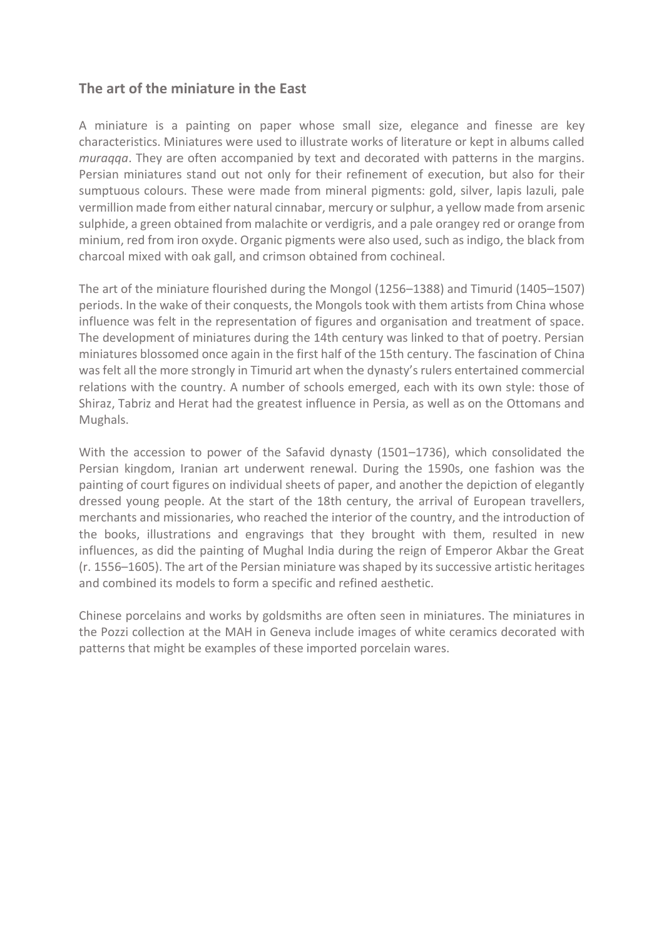## **The art of the miniature in the East**

A miniature is a painting on paper whose small size, elegance and finesse are key characteristics. Miniatures were used to illustrate works of literature or kept in albums called *muraqqa*. They are often accompanied by text and decorated with patterns in the margins. Persian miniatures stand out not only for their refinement of execution, but also for their sumptuous colours. These were made from mineral pigments: gold, silver, lapis lazuli, pale vermillion made from either natural cinnabar, mercury or sulphur, a yellow made from arsenic sulphide, a green obtained from malachite or verdigris, and a pale orangey red or orange from minium, red from iron oxyde. Organic pigments were also used, such as indigo, the black from charcoal mixed with oak gall, and crimson obtained from cochineal.

The art of the miniature flourished during the Mongol (1256–1388) and Timurid (1405–1507) periods. In the wake of their conquests, the Mongols took with them artists from China whose influence was felt in the representation of figures and organisation and treatment of space. The development of miniatures during the 14th century was linked to that of poetry. Persian miniatures blossomed once again in the first half of the 15th century. The fascination of China was felt all the more strongly in Timurid art when the dynasty's rulers entertained commercial relations with the country. A number of schools emerged, each with its own style: those of Shiraz, Tabriz and Herat had the greatest influence in Persia, as well as on the Ottomans and Mughals.

With the accession to power of the Safavid dynasty (1501–1736), which consolidated the Persian kingdom, Iranian art underwent renewal. During the 1590s, one fashion was the painting of court figures on individual sheets of paper, and another the depiction of elegantly dressed young people. At the start of the 18th century, the arrival of European travellers, merchants and missionaries, who reached the interior of the country, and the introduction of the books, illustrations and engravings that they brought with them, resulted in new influences, as did the painting of Mughal India during the reign of Emperor Akbar the Great (r. 1556–1605). The art of the Persian miniature was shaped by its successive artistic heritages and combined its models to form a specific and refined aesthetic.

Chinese porcelains and works by goldsmiths are often seen in miniatures. The miniatures in the Pozzi collection at the MAH in Geneva include images of white ceramics decorated with patterns that might be examples of these imported porcelain wares.